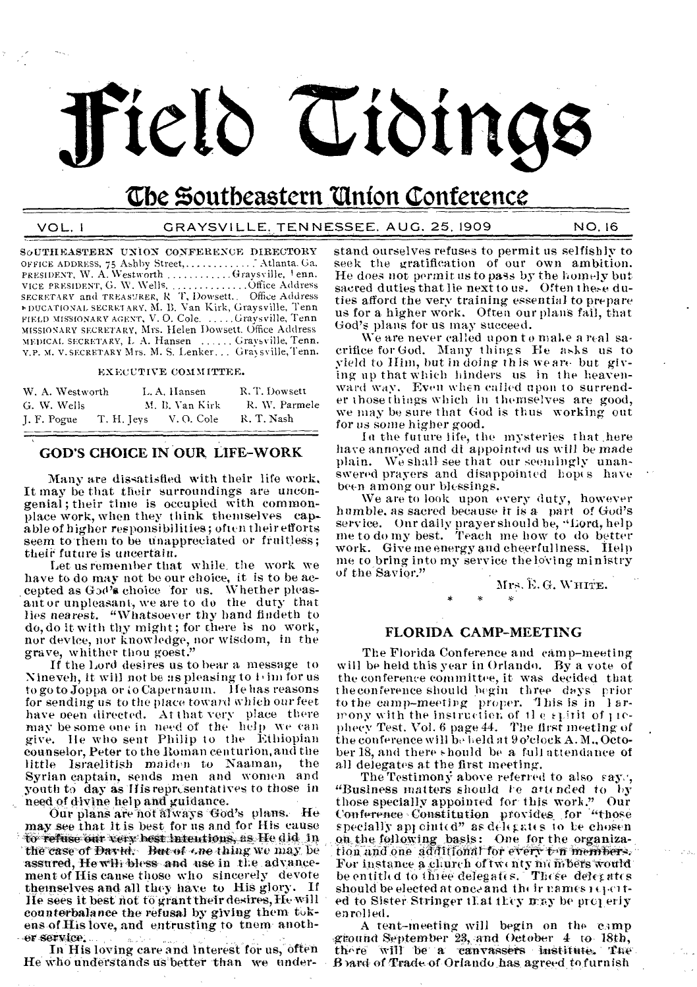# Field Tidings

# **The Southeastern Union Conference**

VOL. I

# GRAYSVILLE, TENNESSEE, AUG. 25, 1909

NO. 16

SOUTHEASTERN UNION CONFERENCE DIRECTORY FIELD MISSIONARY AGENT, V. O. Cole. ..... Graysville, Tenn MISSIONARY SECRETARY, Mrs. Helen Dowsett. Office Address MEDICAL SECRETARY, L. A. Hansen ...... Graysville, Tenn. V.P. M. V. SECRETARY Mrs. M. S. Lenker... Graysville, Tenn.

# EXECUTIVE COMMITTEE.

| W. A. Westworth |            | L. A. Hansen   | R.T. Dowsett  |
|-----------------|------------|----------------|---------------|
| G. W. Wells     |            | M. B. Van Kirk | R. W. Parmele |
| J. F. Pogue     | T. H. Jeys | V. O. Cole     | R. T. Nash    |

# GOD'S CHOICE IN OUR LIFE-WORK

Many are dissatisfied with their life work, It may be that their surroundings are uncongenial: their time is occupied with commonplace work, when they think themselves capable of higher responsibilities; often their efforts seem to them to be unappreciated or fruitless; their future is uncertain.

Let us remember that while, the work we have to do may not be our choice, it is to be accepted as God's choice for us. Whether pleas-<br>ant or unpleasant, we are to do the duty that lies nearest. "Whatsoever thy hand findeth to do, do it with thy might; for there is no work, nor device, nor knowledge, nor wisdom, in the grave, whither thou goest."

If the Lord desires us to bear a message to Nineveh, it will not be as pleasing to him for us to go to Joppa or to Capernaum. He has reasons for sending us to the place toward which our feet have been directed. At that very place there<br>may be some one in need of the help we can give. He who sent Philip to the Ethiopian counselor, Peter to the Roman centurion, and the little Israelitish maiden to Naaman, the Syrian captain, sends men and women and youth to day as His representatives to those in need of divine help and guidance.

Our plans are not always God's plans. He may see that it is best for us and for His cause to refuse our very best intentions, as He did in the case of David. But of the thing we may be assured, He will bless and use in the advancement of His canse those who sincerely devote themselves and all they have to His glory. If He sees it best not to grant their desires, He will counterbalance the refusal by giving them tokens of His love, and entrusting to them another service.

In His loving care and interest for us, often He who understands us better than we under-

stand ourselves refuses to permit us selfishly to seek the gratification of our own ambition. He does not permit us to pass by the homely but sacred duties that lie next to us. Often these duties afford the very training essential to prepare us for a higher work. Often our plans fail, that God's plans for us may succeed.

We are never called upon to make a real sacrifice for God. Many things He asks us to vield to Him, but in doing this weare but giving up that which hinders us in the heavenward way. Even when called upon to surrender those things which in themselves are good, we may be sure that God is thus working out for us some higher good.

In the future life, the mysteries that here have annoyed and di appointed us will be made plain. We shall see that our seemingly unanswered prayers and disappointed hopes have been among our blessings.

We are to look upon every duty, however humble, as sacred because it is a part of God's service. Our daily prayer should be, "flord, help<br>me to do my best. Teach me how to do better work. Give me energy and cheerfullness. Help me to bring into my service the loving ministry of the Savior."

Mrs. E. G. WHITE.

# FLORIDA CAMP-MEETING

The Florida Conference and camp-meeting will be held this year in Orlando. By a vote of the conference committee, it was decided that the conference should begin three days prior to the camp-meeting proper. This is in larmony with the instruction of the spirit of prephecy Test. Vol. 6 page 44. The first meeting of the conference will be held at 9 o'clock A. M., October 18, and there should be a full attendance of all delegates at the first meeting.

The Testimony above referred to also  $\mathfrak{so}$  , "Business matters should be attended to by those specially appointed for this work." Our Conference Constitution provides for "those specially appointed" as delegates to be chosen on the following basis: One for the organization and one additional for every ten members. For instance a cliurch of twenty members would be entitled to three delegates. These delegates should be elected at once and their names reported to Sister Stringer that they may be properly enrolled.

A tent-meeting will begin on the camp ground September 23, and October 4 to 18th, there will be a canvassers institute. The B rard of Trade of Orlando has agreed to furnish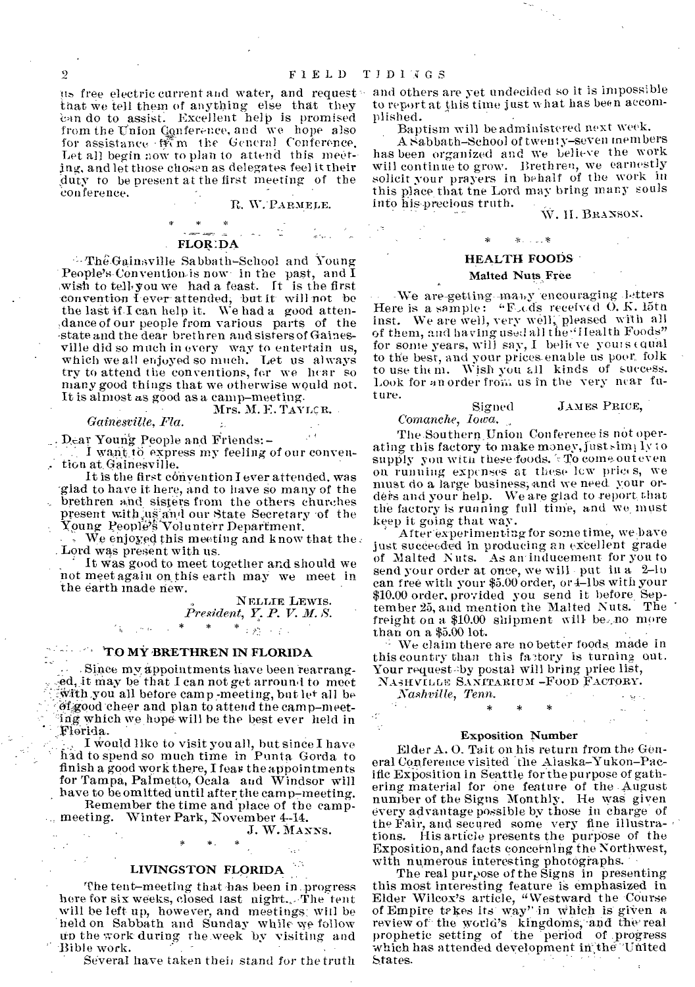us free electric current and water, and request that we tell them of anything else that they Cm do to assist. Excellent help is promised from the Union Conference, and we hope also for assistance from the General Conference. Let all begin now to plan to attend this meeting, and let those chosen as delegates feel it their duty to be present at the first meeting of the conference.

# R. W. PARMELE.

# FLORIDA

 $\sim$ The Gainaville Sabbath-School and Young People's-Convention. is now-in the past, and I ,wish to telhyou we had a feast. It is the first convention fever attended, but it will not be the last if I can help it. We had a good attendance of our people from various parts of the -state and the dear brethren and sisters of Gainesville did so much in every way to entertain us, which we all enjoyed so much. Let us always try to attend the conventions, for we hoar so many good things that we otherwise would not. It is almost as good as a camp-meeting.

Mrs. M. F. TAYLCR.

*Gainesville, Fla.* 

 $Dear$  Young People and Friends:  $-$ 

I want to express my feeling of our convention at Gainesville.

It is the first convention I ever attended, was -glad to have it here, and to have so many of the brethren and sisters from the others churches present with us and our State Secretary of the Young People's Volunterr Department.

- We enjoyed this meeting and know that the. . Lord was present with us.

It was good to meet together and should we not meet again on this earth may we meet in the earth made new.

NELLIE LEWIS. *President, Y. P. V. M. S.*  • \* \* \* 1巻 + 1。

# **TO MY BRETHREN IN FLORIDA**

• • , Since my appointments have been rearrang ed, it may be that I can not get arround to meet  $\mathbb{R}$  with you all before camp -meeting, but let all be of good cheer and plan to attend the camp-meeting which we hope will be the best ever held in ,Florida.

, I would like to visit you all, but since I have had to spend so much time in Punta Gorda to finish a good work there, I fear the appointments for Tampa, Palmetto, Ocala and Windsor will have to be omitted until after the camp-meeting.

Remember the time and place of the camp meeting. Winter Park, November 4-14.

J. W. MANNs. \*

# LIVINGSTON FLORIDA

The tent-meeting that has been in .progress here for six weeks, closed last night... The tent will be left up, however, and meetings: will be held on Sabbath and Sunday while we follow tin the work during the week by visiting and Bible work.

Several have taken their stand for the truth

and others are yet undecided so it is impossible and others are yet undetailed so it is imposition.<br>to report at this time just what has been accomplished. .

Baptism will be administered next week.

A Sabbath-School of twenty-seven members has been organized and we believe the work will continue to grow. Brethren, we earnestly solicit your prayers in behalf of the work in this place that tne Lord may bring many souls into his-precious truth.

W. II. BRANSON.

# HEALTH FOODS

\* \*

# Malted Nuts.Free

We are-getting many encouraging letters Here is a sample: "Feds received O. K. l5th inst. We are well, very well, pleased with all of them, and having used all the "Health Foods" for some years, will say, I belie ve yours euual to the best, and your prices. enable us poor,. folk to use them. Wish you all kinds of success. Look for an order from us in the very near fut ure.

# Signed JAMES PRICE,

*Comanche, \_Iowa.* 

The Southern Union Conference is not operating this factory to make money, just  $\operatorname{sim}_{i}$  ly to supply you with these foods. To come outeven on. running expenses at these low prize s, we must do a large business, and we need your orders and your help. We are glad to report, that the factory is running full time, and we must keep it going that way.

After experimenting for some time, we have just succeeded in producing an excellent grade of Malted N uts. As an inducement for you to send your order at once, we will - put in a 2-lo can free with your \$5.00 order, or 4-lbs with your \$10.00 order, provided you send it before.September 25, and mention the Malted Nuts. The freight on a \$10.00 shipment will be. no more than on a \$5.00 lot.

W*e* claim there are no better foods. made in this country than this factory is turning out. Your request-by postal will bring priec list,

NASHVILLE SANITARIUM -FOOD FACTORY. *Nashville, Tenn.* 

# Exposition Number

Elder A. 0. Tait on his return from the General Conference visited the Alaska-Yukon-Pacific Exposition in Seattle for the purpose of gathering material for one feature of the .August number of the Signs Monthly. He was given every advantage possible by those in charge of the Fair, and secured some very fine illustrations. His article presents the purpose of the Exposition, and facts concerning the Northwest, with numerous interesting photographs.

The real purpose of the Signs in presenting this most interesting feature is emphasized in Elder Wilcox's article, "Westward the Course of Empire takes its way" in which is given a review of the world's kingdoms, and the real prophetic setting of the 'period of .progress which has attended development in the United States.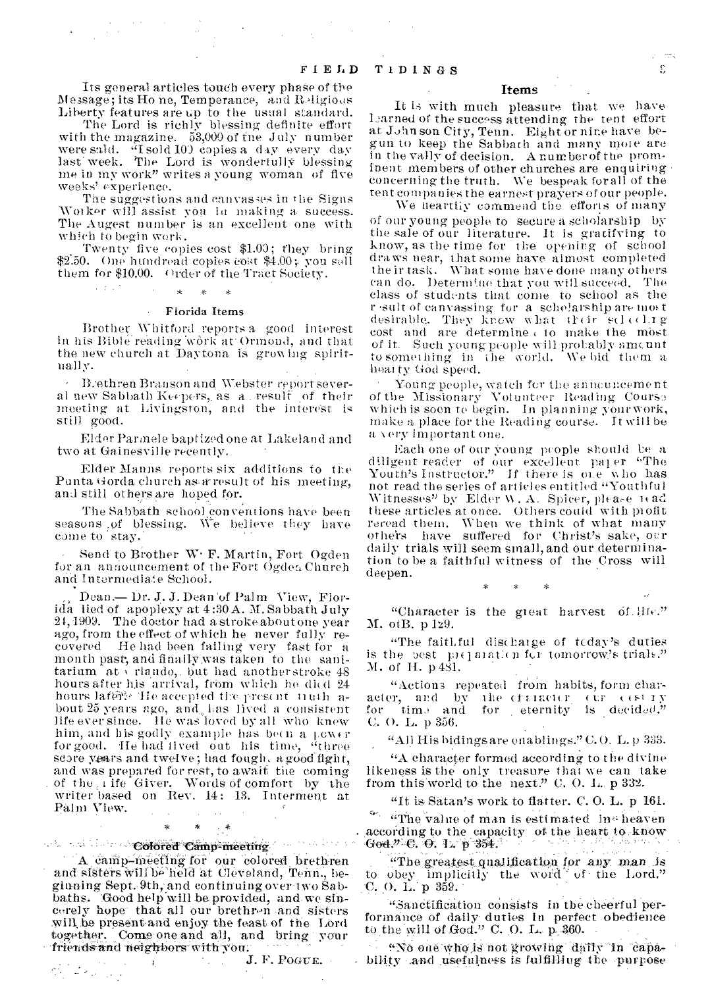Its general articles touch every phase of the Message; its Ho ne, Temperance, and Religious Liberty features are up to the usual standard.

The Lord is richly blessing definite effort with the magazine.  $53,000$  of the July-number were said. "I sold 10) copies a day every day last week. The Lord is wonderfully blessing me in my work" writes a young woman of five weeks' experience.

The suggestions and canvasses in the Signs Worker will assist you in making a success. The Augest number is an excellent one with which to begin work.

Twenty five copies cost \$1.03; they bring \$2.50. One hundread copies cost \$4.00; you sell them for \$10.00. Order of the Tract Society.

#### Florida Items

Brothet. Whitford reports a good interest in his Bible reading 'work at' Ormond, and that the new church at Daytona is growing spiritually.

11.'ethren Branson and W.ebster report several new Sabbath Keepers, as a result of their meeting at Livingston, and the interest is still good.

Elder Parmele baptized one at Lakeland and two at Gainesville recently.

Elder Manus reports six additions to the Punta Gorda church as a result of his meeting, and still others are hoped for.

The Sabbath school conventions have been seasons of blessing. We believe they have come to stay.

Send to Brother W. F. Martin, Fort Ogden for an announcement of the Fort Ogdes Church and Intermediate School.

Dean. Dr. J. J. Dean' of Palm View, Florida lied of apoplexy at 4:30 A. M. Sabbath July 24,1909. The doctor had a stroke about one year ago, from the effect of which he never fully recovered He had been failing very fast for a month past, and finally was taken to the sanitarium at  $\sqrt{r}$  rlando,. but had another stroke 48 hours after his arrival, from which he died 24 hours lafer. He accepted the present truth about 25 years ago, and. Las lived a consistent life ever since. lie was loved by all who knew him, and his godly example has been a  $\mu$ cwer for good. He had lived out his time, "three score years and twelve; had fough, a good fight, and was prepared for rest, to await the coming of the, ife Giver. Words of comfort by the writer based on Rev. 14: 13. Interment at Palm View.

A 'S 'Colored Camp-meeting for our colored brethren and sisters will be held at Cleveland, Tenn., beginning Sept. 9th, and continuing over two Sabbaths. Good help will be provided, and we sincerely hope that all our brethren and sisters will, be presentand enjoy the feast of the LOrd together. Come one and all, and bring your . friends and neighbors with you,

 $\mathcal{A}$ 

 $\mathcal{O}(\log n)$  .

J. F. POGUE.

me.  $\mathbf{f}^{\star}$ 

It is with much pleasure that we have 12arned of the success attending the tent effort at Johnson City, Tenn. Eight or nine have begun to keep the Sabbath and many mole are in the vally of decision. A num ber of the prominent members of other churches are enquiring concerning the truth. We bespeak for all of the tent companies the earnest prayers of our people.

We heartily commend the efforts of many of our young; people to secure a scholarship by the sale of our literature. It is gratifying to know, as the time for the opening of school draws near, that some have almost completed their task. What some have done many others can do. Determine that you will succeed. The class of students that come to school as the r ,suit of canvassing for a scholarship are nus t desirable. They know what iter scleeding cost and are determine to make the most of it. Such young people will probably amount to something in the world. We bid them a heat ty tiod speed.

Young people, watch for the announcement of the Missionary Volunteer Reading Course which is soon to begin. In planning your work, make a place for the Reading course. It will be a very important one.

Each one of our young' people should be a diligent reader of our excellent pal er 'The Youth's Instructor." If there is one who has not read the series of articles entitled "Youthful Witnesses" by Elder W. A. Spicer, please 1ead these articles at once. Others could with piofit reread them. When we think of what many othe'rs have suffered for Christ's sake, ocr daily trials will seem small, and our determination to be a faithful witness of the Cross will deepen.

"Character is the great harvest of life." M. ofB. p 129.

"The faitl.ful discharge of tcday's duties is the best  $p+q$  aration for tomorrow's trials." M. of H. p 481.

"Actions repeated from habits, form character, and by the cranacter curvestry for  $\lim_{n \to \infty}$  and for eternity is decided." C. 0. L. p 356.

"All His bidings are enablings."  $C$ ,  $O$ ,  $L$ ,  $p$  333.

"A character formed according to the divine likeness is the only treasure that we can take from this world to the next." C. O. L.  $p$  332.

"It is Satan's work to flatter. C. 0. L. p 161.

 $\sim$  "The value of man is estimated intheaven . according to the capacity of the heart to know  $\Theta$ od $\mathcal{P}$ <sup>1</sup> $\Theta$ .  $\Theta$ . 14: p 354.<sup>9</sup>

"The greatest qualification for any man is to obey implicitly the word of the Lord." C. O. L.' p 359.

"Sanctification consists in the cheerful performance of daily duties in perfect obedience to the will of God." C. O. L. p. 360.

"No one who is not growing daily "in capability , and usefulness is fulfilling the purpose